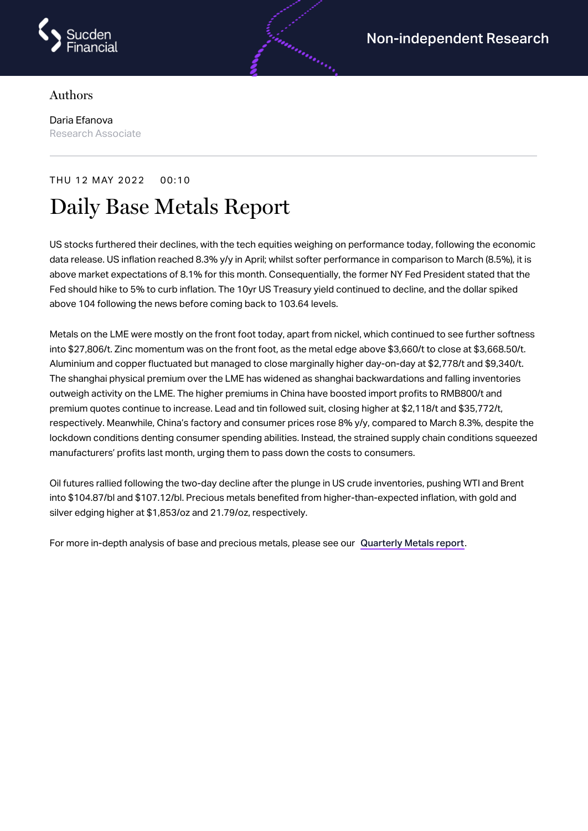

## Authors

Daria Efanova Research Associate

## THU 12 MAY 2022 00:10 Daily Base Metals Report

US stocks furthered their declines, with the tech equities weighing on performance today, following the economic data release. US inflation reached 8.3% y/y in April; whilst softer performance in comparison to March (8.5%), it is above market expectations of 8.1% for this month. Consequentially, the former NY Fed President stated that the Fed should hike to 5% to curb inflation. The 10yr US Treasury yield continued to decline, and the dollar spiked above 104 following the news before coming back to 103.64 levels.

androning

Metals on the LME were mostly on the front foot today, apart from nickel, which continued to see further softness into \$27,806/t. Zinc momentum was on the front foot, as the metal edge above \$3,660/t to close at \$3,668.50/t. Aluminium and copper fluctuated but managed to close marginally higher day-on-day at \$2,778/t and \$9,340/t. The shanghai physical premium over the LME has widened as shanghai backwardations and falling inventories outweigh activity on the LME. The higher premiums in China have boosted import profits to RMB800/t and premium quotes continue to increase. Lead and tin followed suit, closing higher at \$2,118/t and \$35,772/t, respectively. Meanwhile, China's factory and consumer prices rose 8% y/y, compared to March 8.3%, despite the lockdown conditions denting consumer spending abilities. Instead, the strained supply chain conditions squeezed manufacturers' profits last month, urging them to pass down the costs to consumers.

Oil futures rallied following the two-day decline after the plunge in US crude inventories, pushing WTI and Brent into \$104.87/bl and \$107.12/bl. Precious metals benefited from higher-than-expected inflation, with gold and silver edging higher at \$1,853/oz and 21.79/oz, respectively.

For more in-depth analysis of base and precious metals, please see our [Quarterly](https://www.sucdenfinancial.com/en/reports/quarterly-metals/qmr-q1-2022/) Metals report.